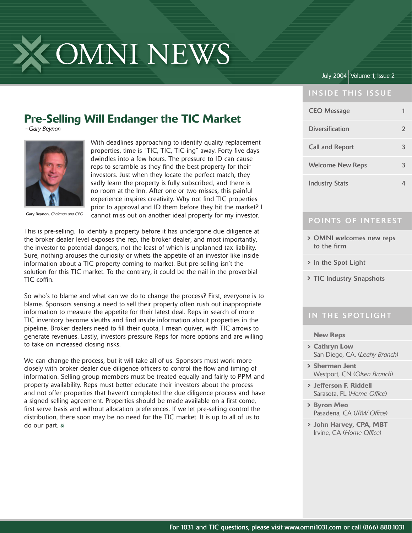

### July 2004 Volume 1, Issue 2

#### **INSIDE THIS ISSUE**

## Pre-Selling Will Endanger the TIC Market

*~Gary Beynon*



Gary Beynon, *Chairman and CEO*

With deadlines approaching to identify quality replacement properties, time is "TIC, TIC, TIC-ing" away. Forty five days dwindles into a few hours. The pressure to ID can cause reps to scramble as they find the best property for their investors. Just when they locate the perfect match, they sadly learn the property is fully subscribed, and there is no room at the Inn. After one or two misses, this painful experience inspires creativity. Why not find TIC properties prior to approval and ID them before they hit the market? I cannot miss out on another ideal property for my investor.

This is pre-selling. To identify a property before it has undergone due diligence at the broker dealer level exposes the rep, the broker dealer, and most importantly, the investor to potential dangers, not the least of which is unplanned tax liability. Sure, nothing arouses the curiosity or whets the appetite of an investor like inside information about a TIC property coming to market. But pre-selling isn't the solution for this TIC market. To the contrary, it could be the nail in the proverbial  $TIC$  coffin.

So who's to blame and what can we do to change the process? First, everyone is to blame. Sponsors sensing a need to sell their property often rush out inappropriate information to measure the appetite for their latest deal. Reps in search of more TIC inventory become sleuths and find inside information about properties in the pipeline. Broker dealers need to fill their quota, I mean quiver, with TIC arrows to generate revenues. Lastly, investors pressure Reps for more options and are willing to take on increased closing risks.

We can change the process, but it will take all of us. Sponsors must work more closely with broker dealer due diligence officers to control the flow and timing of information. Selling group members must be treated equally and fairly to PPM and property availability. Reps must better educate their investors about the process and not offer properties that haven't completed the due diligence process and have a signed selling agreement. Properties should be made available on a first come, first serve basis and without allocation preferences. If we let pre-selling control the distribution, there soon may be no need for the TIC market. It is up to all of us to do our part.

| <b>INSIDE THIS ISSUE</b> |                |
|--------------------------|----------------|
| <b>CEO</b> Message       |                |
| <b>Diversification</b>   | $\overline{2}$ |
| <b>Call and Report</b>   | 3              |
| <b>Welcome New Reps</b>  |                |
| <b>Industry Stats</b>    |                |

#### POINTS OF INTEREST

- OMNI welcomes new reps to the firm
- > In the Spot Light
- > TIC Industry Snapshots

#### IN THE SPOTLIGHT

#### New Reps

- Cathryn Low San Diego, CA. (*Leahy Branch*)
- Sherman Jent Westport, CN (*Olsen Branch*)
- Jefferson F. Riddell Sarasota, FL (Home Office)
- Byron Meo Pasadena, CA URW Office)
- John Harvey, CPA, MBT Irvine, CA (Home Office)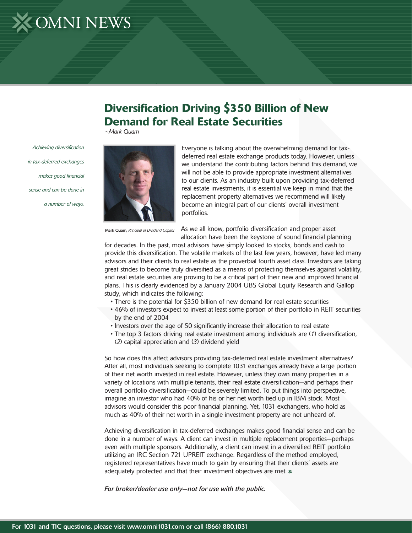# X OMNI NEWS

*Achieving diversifi cation* 

*in tax-deferred exchanges* 

*sense and can be done in* 

makes good financial

*a number of ways.*

## Diversification Driving \$350 Billion of New Demand for Real Estate Securities

*~Mark Quam*

Everyone is talking about the overwhelming demand for taxdeferred real estate exchange products today. However, unless we understand the contributing factors behind this demand, we will not be able to provide appropriate investment alternatives to our clients. As an industry built upon providing tax-deferred real estate investments, it is essential we keep in mind that the replacement property alternatives we recommend will likely become an integral part of our clients' overall investment portfolios.

Mark Quam, *Principal of Dividend Capital*

As we all know, portfolio diversification and proper asset allocation have been the keystone of sound financial planning

for decades. In the past, most advisors have simply looked to stocks, bonds and cash to provide this diversification. The volatile markets of the last few years, however, have led many advisors and their clients to real estate as the proverbial fourth asset class. Investors are taking great strides to become truly diversified as a means of protecting themselves against volatility, and real estate securities are proving to be a critical part of their new and improved financial plans. This is clearly evidenced by a January 2004 UBS Global Equity Research and Gallop study, which indicates the following:

- There is the potential for \$350 billion of new demand for real estate securities
- 46% of investors expect to invest at least some portion of their portfolio in REIT securities by the end of 2004
- Investors over the age of 50 significantly increase their allocation to real estate
- The top 3 factors driving real estate investment among individuals are (1) diversification, (*2*) capital appreciation and (*3*) dividend yield

So how does this affect advisors providing tax-deferred real estate investment alternatives? After all, most individuals seeking to complete 1031 exchanges already have a large portion of their net worth invested in real estate. However, unless they own many properties in a variety of locations with multiple tenants, their real estate diversification—and perhaps their overall portfolio diversification—could be severely limited. To put things into perspective, imagine an investor who had 40% of his or her net worth tied up in IBM stock. Most advisors would consider this poor financial planning. Yet, 1031 exchangers, who hold as much as 40% of their net worth in a single investment property are not unheard of.

Achieving diversification in tax-deferred exchanges makes good financial sense and can be done in a number of ways. A client can invest in multiple replacement properties—perhaps even with multiple sponsors. Additionally, a client can invest in a diversified REIT portfolio utilizing an IRC Section 721 UPREIT exchange. Regardless of the method employed, registered representatives have much to gain by ensuring that their clients' assets are adequately protected and that their investment objectives are met.

*For broker/dealer use only—not for use with the public.*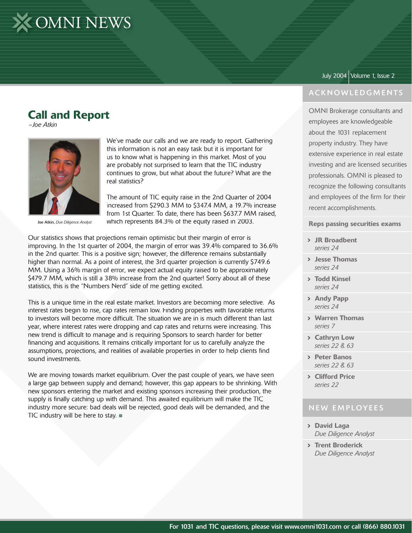

## Call and Report

*~Joe Atkin*



Joe Atkin, *Due Diligence Analyst*

We've made our calls and we are ready to report. Gathering this information is not an easy task but it is important for us to know what is happening in this market. Most of you are probably not surprised to learn that the TIC industry continues to grow, but what about the future? What are the real statistics?

The amount of TIC equity raise in the 2nd Quarter of 2004 increased from \$290.3 MM to \$347.4 MM, a 19.7% increase from 1st Quarter. To date, there has been \$637.7 MM raised, which represents 84.3% of the equity raised in 2003.

Our statistics shows that projections remain optimistic but their margin of error is improving. In the 1st quarter of 2004, the margin of error was 39.4% compared to 36.6% in the 2nd quarter. This is a positive sign; however, the difference remains substantially higher than normal. As a point of interest, the 3rd quarter projection is currently \$749.6 MM. Using a 36% margin of error, we expect actual equity raised to be approximately \$479.7 MM, which is still a 38% increase from the 2nd quarter! Sorry about all of these statistics, this is the "Numbers Nerd" side of me getting excited.

This is a unique time in the real estate market. Investors are becoming more selective. As interest rates begin to rise, cap rates remain low. Finding properties with favorable returns to investors will become more difficult. The situation we are in is much different than last year, where interest rates were dropping and cap rates and returns were increasing. This new trend is difficult to manage and is requiring Sponsors to search harder for better financing and acquisitions. It remains critically important for us to carefully analyze the assumptions, projections, and realities of available properties in order to help clients find sound investments.

We are moving towards market equilibrium. Over the past couple of years, we have seen a large gap between supply and demand; however, this gap appears to be shrinking. With new sponsors entering the market and existing sponsors increasing their production, the supply is finally catching up with demand. This awaited equilibrium will make the TIC industry more secure: bad deals will be rejected, good deals will be demanded, and the TIC industry will be here to stay.  $*$ 

#### July 2004 Volume 1, Issue 2

#### **ACKNOWLEDGMENTS**

OMNI Brokerage consultants and employees are knowledgeable about the 1031 replacement property industry. They have extensive experience in real estate investing and are licensed securities professionals. OMNI is pleased to recognize the following consultants and employees of the firm for their recent accomplishments.

#### Reps passing securities exams

- JR Broadbent *series 24*
- Jesse Thomas *series 24*
- Todd Kinsel *series 24*
- > Andy Papp *series 24*
- Warren Thomas *series 7*
- > Cathryn Low *series 22 & 63*
- > Peter Banos *series 22 & 63*
- > Clifford Price *series 22*

#### **NEW EMPLOYEES**

- David Laga  *Due Diligence Analyst*
- > Trent Broderick *Due Diligence Analyst*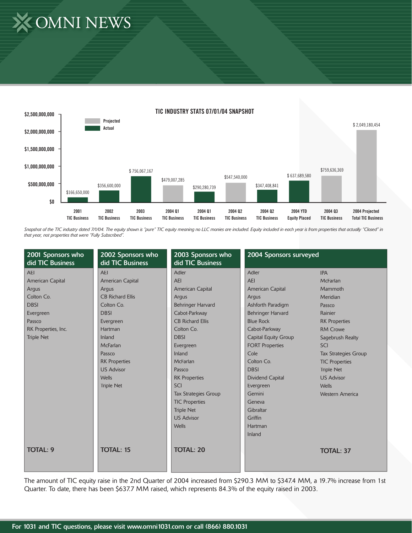# X OMNI NEWS



Snapshot of the TIC industry dated 7/1/04. The equity shown is "pure" TIC equity meaning no LLC monies are included. Equity included in each year is from properties that actually "Closed" in *that year, not properties that were "Fully Subscribed".*

| 2001 Sponsors who<br>did TIC Business | 2002 Sponsors who<br>did TIC Business | 2003 Sponsors who<br>did TIC Business | 2004 Sponsors surveyed   |                             |
|---------------------------------------|---------------------------------------|---------------------------------------|--------------------------|-----------------------------|
| <b>AEI</b>                            | <b>AEI</b>                            | <b>Adler</b>                          | Adler                    | <b>IPA</b>                  |
| American Capital                      | American Capital                      | <b>AEI</b>                            | <b>AEI</b>               | McFarlan                    |
| Argus                                 | Argus                                 | <b>American Capital</b>               | American Capital         | Mammoth                     |
| Colton Co.                            | <b>CB Richard Ellis</b>               | Argus                                 | Argus                    | Meridian                    |
| <b>DBSI</b>                           | Colton Co.                            | Behringer Harvard                     | Ashforth Paradigm        | Passco                      |
| Evergreen                             | <b>DBSI</b>                           | Cabot-Parkway                         | <b>Behringer Harvard</b> | Rainier                     |
| Passco                                | Evergreen                             | <b>CB Richard Ellis</b>               | <b>Blue Rock</b>         | <b>RK Properties</b>        |
| RK Properties, Inc.                   | Hartman                               | Colton Co.                            | Cabot-Parkway            | <b>RM Crowe</b>             |
| <b>Triple Net</b>                     | Inland                                | <b>DBSI</b>                           | Capital Equity Group     | Sagebrush Realty            |
|                                       | <b>McFarlan</b>                       | Evergreen                             | <b>FORT Properties</b>   | SCI                         |
|                                       | Passco                                | Inland                                | Cole                     | <b>Tax Strategies Group</b> |
|                                       | <b>RK Properties</b>                  | <b>McFarlan</b>                       | Colton Co.               | <b>TIC Properties</b>       |
|                                       | <b>US Advisor</b>                     | Passco                                | <b>DBSI</b>              | <b>Triple Net</b>           |
|                                       | <b>Wells</b>                          | <b>RK Properties</b>                  | <b>Dividend Capital</b>  | <b>US Advisor</b>           |
|                                       | <b>Triple Net</b>                     | <b>SCI</b>                            | Evergreen                | <b>Wells</b>                |
|                                       |                                       | <b>Tax Strategies Group</b>           | Gemini                   | <b>Western America</b>      |
|                                       |                                       | <b>TIC Properties</b>                 | Geneva                   |                             |
|                                       |                                       | <b>Triple Net</b>                     | Gibraltar                |                             |
|                                       |                                       | <b>US Advisor</b>                     | Griffin                  |                             |
|                                       |                                       | <b>Wells</b>                          | Hartman                  |                             |
|                                       |                                       |                                       | Inland                   |                             |
|                                       |                                       |                                       |                          |                             |
| <b>TOTAL: 9</b>                       | <b>TOTAL: 15</b>                      | <b>TOTAL: 20</b>                      |                          | <b>TOTAL: 37</b>            |
|                                       |                                       |                                       |                          |                             |

The amount of TIC equity raise in the 2nd Quarter of 2004 increased from \$290.3 MM to \$347.4 MM, a 19.7% increase from 1st Quarter. To date, there has been \$637.7 MM raised, which represents 84.3% of the equity raised in 2003.